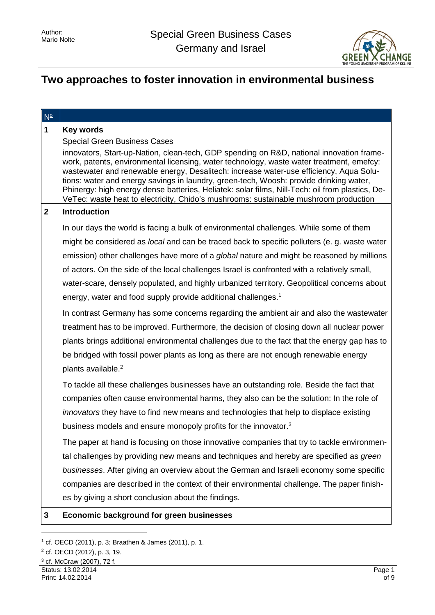

# **Two approaches to foster innovation in environmental business**

| $N^{\circ}$  |                                                                                                                                                                                                                                                                                                                                                                                                                                                                                                                                                                     |
|--------------|---------------------------------------------------------------------------------------------------------------------------------------------------------------------------------------------------------------------------------------------------------------------------------------------------------------------------------------------------------------------------------------------------------------------------------------------------------------------------------------------------------------------------------------------------------------------|
| $\mathbf{1}$ | <b>Key words</b>                                                                                                                                                                                                                                                                                                                                                                                                                                                                                                                                                    |
|              | <b>Special Green Business Cases</b>                                                                                                                                                                                                                                                                                                                                                                                                                                                                                                                                 |
|              | innovators, Start-up-Nation, clean-tech, GDP spending on R&D, national innovation frame-<br>work, patents, environmental licensing, water technology, waste water treatment, emefcy:<br>wastewater and renewable energy, Desalitech: increase water-use efficiency, Aqua Solu-<br>tions: water and energy savings in laundry, green-tech, Woosh: provide drinking water,<br>Phinergy: high energy dense batteries, Heliatek: solar films, Nill-Tech: oil from plastics, De-<br>VeTec: waste heat to electricity, Chido's mushrooms: sustainable mushroom production |
| $\mathbf{2}$ | <b>Introduction</b>                                                                                                                                                                                                                                                                                                                                                                                                                                                                                                                                                 |
|              | In our days the world is facing a bulk of environmental challenges. While some of them                                                                                                                                                                                                                                                                                                                                                                                                                                                                              |
|              | might be considered as <i>local</i> and can be traced back to specific polluters (e. g. waste water                                                                                                                                                                                                                                                                                                                                                                                                                                                                 |
|              | emission) other challenges have more of a <i>global</i> nature and might be reasoned by millions                                                                                                                                                                                                                                                                                                                                                                                                                                                                    |
|              | of actors. On the side of the local challenges Israel is confronted with a relatively small,                                                                                                                                                                                                                                                                                                                                                                                                                                                                        |
|              | water-scare, densely populated, and highly urbanized territory. Geopolitical concerns about                                                                                                                                                                                                                                                                                                                                                                                                                                                                         |
|              | energy, water and food supply provide additional challenges. <sup>1</sup>                                                                                                                                                                                                                                                                                                                                                                                                                                                                                           |
|              | In contrast Germany has some concerns regarding the ambient air and also the wastewater                                                                                                                                                                                                                                                                                                                                                                                                                                                                             |
|              | treatment has to be improved. Furthermore, the decision of closing down all nuclear power                                                                                                                                                                                                                                                                                                                                                                                                                                                                           |
|              | plants brings additional environmental challenges due to the fact that the energy gap has to                                                                                                                                                                                                                                                                                                                                                                                                                                                                        |
|              | be bridged with fossil power plants as long as there are not enough renewable energy                                                                                                                                                                                                                                                                                                                                                                                                                                                                                |
|              | plants available. <sup>2</sup>                                                                                                                                                                                                                                                                                                                                                                                                                                                                                                                                      |
|              | To tackle all these challenges businesses have an outstanding role. Beside the fact that                                                                                                                                                                                                                                                                                                                                                                                                                                                                            |
|              | companies often cause environmental harms, they also can be the solution: In the role of                                                                                                                                                                                                                                                                                                                                                                                                                                                                            |
|              | innovators they have to find new means and technologies that help to displace existing                                                                                                                                                                                                                                                                                                                                                                                                                                                                              |
|              | business models and ensure monopoly profits for the innovator. <sup>3</sup>                                                                                                                                                                                                                                                                                                                                                                                                                                                                                         |
|              | The paper at hand is focusing on those innovative companies that try to tackle environmen-                                                                                                                                                                                                                                                                                                                                                                                                                                                                          |
|              | tal challenges by providing new means and techniques and hereby are specified as green                                                                                                                                                                                                                                                                                                                                                                                                                                                                              |
|              | businesses. After giving an overview about the German and Israeli economy some specific                                                                                                                                                                                                                                                                                                                                                                                                                                                                             |
|              | companies are described in the context of their environmental challenge. The paper finish-                                                                                                                                                                                                                                                                                                                                                                                                                                                                          |
|              | es by giving a short conclusion about the findings.                                                                                                                                                                                                                                                                                                                                                                                                                                                                                                                 |
| 3            | <b>Economic background for green businesses</b>                                                                                                                                                                                                                                                                                                                                                                                                                                                                                                                     |

<sup>1</sup> cf. OECD (2011), p. 3; Braathen & James (2011), p. 1.

<sup>2</sup> cf. OECD (2012), p. 3, 19.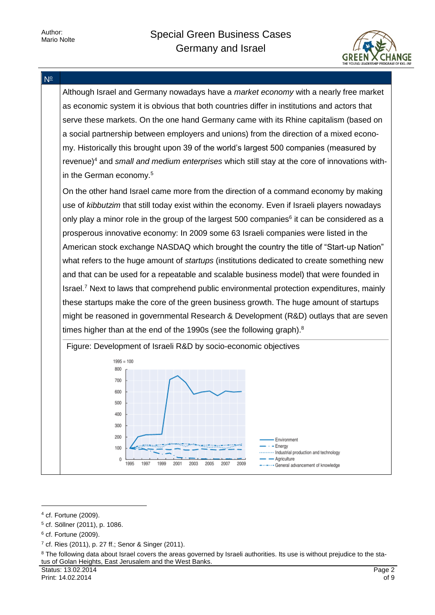



<sup>4</sup> cf. Fortune (2009).

<sup>5</sup> cf. Söllner (2011), p. 1086.

<sup>6</sup> cf. Fortune (2009).

<sup>7</sup> cf. Ries (2011), p. 27 ff.; Senor & Singer (2011).

<sup>&</sup>lt;sup>8</sup> The following data about Israel covers the areas governed by Israeli authorities. Its use is without prejudice to the status of Golan Heights, East Jerusalem and the West Banks.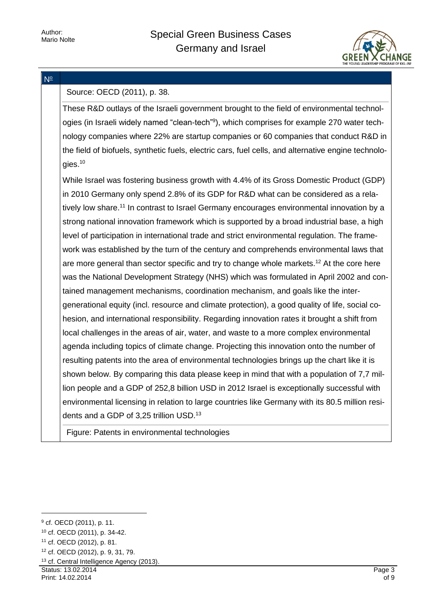

#### N<sup>o</sup>

### Source: OECD (2011), p. 38.

These R&D outlays of the Israeli government brought to the field of environmental technologies (in Israeli widely named "clean-tech"<sup>9</sup>), which comprises for example 270 water technology companies where 22% are startup companies or 60 companies that conduct R&D in the field of biofuels, synthetic fuels, electric cars, fuel cells, and alternative engine technologies.<sup>10</sup>

While Israel was fostering business growth with 4.4% of its Gross Domestic Product (GDP) in 2010 Germany only spend 2.8% of its GDP for R&D what can be considered as a relatively low share.<sup>11</sup> In contrast to Israel Germany encourages environmental innovation by a strong national innovation framework which is supported by a broad industrial base, a high level of participation in international trade and strict environmental regulation. The framework was established by the turn of the century and comprehends environmental laws that are more general than sector specific and try to change whole markets.<sup>12</sup> At the core here was the National Development Strategy (NHS) which was formulated in April 2002 and contained management mechanisms, coordination mechanism, and goals like the intergenerational equity (incl. resource and climate protection), a good quality of life, social cohesion, and international responsibility. Regarding innovation rates it brought a shift from local challenges in the areas of air, water, and waste to a more complex environmental agenda including topics of climate change. Projecting this innovation onto the number of resulting patents into the area of environmental technologies brings up the chart like it is shown below. By comparing this data please keep in mind that with a population of 7,7 million people and a GDP of 252,8 billion USD in 2012 Israel is exceptionally successful with environmental licensing in relation to large countries like Germany with its 80.5 million residents and a GDP of 3,25 trillion USD.<sup>13</sup>

Figure: Patents in environmental technologies

-

<sup>13</sup> cf. Central Intelligence Agency (2013).

Status: 13.02.2014 Print: 14.02.2014

<sup>9</sup> cf. OECD (2011), p. 11.

<sup>10</sup> cf. OECD (2011), p. 34-42.

<sup>11</sup> cf. OECD (2012), p. 81.

<sup>12</sup> cf. OECD (2012), p. 9, 31, 79.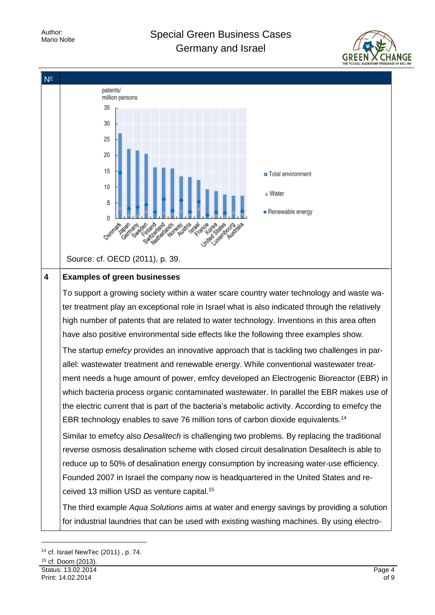Author:<br>Mario Nolte

### Special Green Business Cases Germany and Israel





<sup>14</sup> cf. Israel NewTec (2011) , p. 74.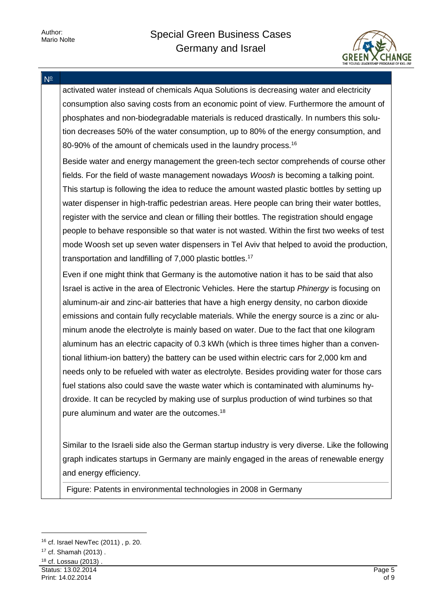

N<sup>o</sup>

activated water instead of chemicals Aqua Solutions is decreasing water and electricity consumption also saving costs from an economic point of view. Furthermore the amount of phosphates and non-biodegradable materials is reduced drastically. In numbers this solution decreases 50% of the water consumption, up to 80% of the energy consumption, and 80-90% of the amount of chemicals used in the laundry process.<sup>16</sup>

Beside water and energy management the green-tech sector comprehends of course other fields. For the field of waste management nowadays *Woosh* is becoming a talking point. This startup is following the idea to reduce the amount wasted plastic bottles by setting up water dispenser in high-traffic pedestrian areas. Here people can bring their water bottles, register with the service and clean or filling their bottles. The registration should engage people to behave responsible so that water is not wasted. Within the first two weeks of test mode Woosh set up seven water dispensers in Tel Aviv that helped to avoid the production, transportation and landfilling of 7,000 plastic bottles.<sup>17</sup>

Even if one might think that Germany is the automotive nation it has to be said that also Israel is active in the area of Electronic Vehicles. Here the startup *Phinergy* is focusing on aluminum-air and zinc-air batteries that have a high energy density, no carbon dioxide emissions and contain fully recyclable materials. While the energy source is a zinc or aluminum anode the electrolyte is mainly based on water. Due to the fact that one kilogram aluminum has an electric capacity of 0.3 kWh (which is three times higher than a conventional lithium-ion battery) the battery can be used within electric cars for 2,000 km and needs only to be refueled with water as electrolyte. Besides providing water for those cars fuel stations also could save the waste water which is contaminated with aluminums hydroxide. It can be recycled by making use of surplus production of wind turbines so that pure aluminum and water are the outcomes.<sup>18</sup>

Similar to the Israeli side also the German startup industry is very diverse. Like the following graph indicates startups in Germany are mainly engaged in the areas of renewable energy and energy efficiency.

Figure: Patents in environmental technologies in 2008 in Germany

<sup>16</sup> cf. Israel NewTec (2011) , p. 20.

<sup>17</sup> cf. Shamah (2013) .

Status: 13.02.2014 Print: 14.02.2014 <sup>18</sup> cf. Lossau (2013) .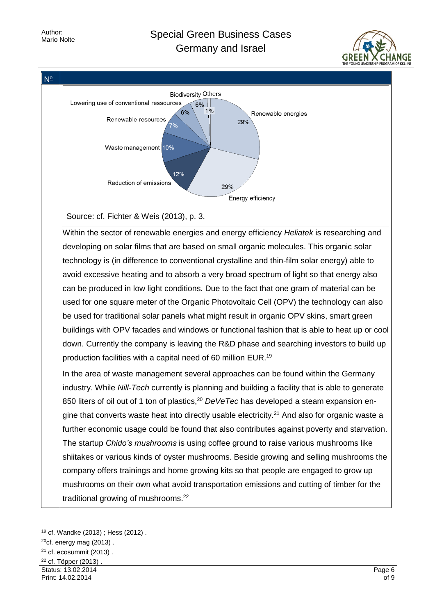## Special Green Business Cases Germany and Israel





<sup>19</sup> cf. Wandke (2013) ; Hess (2012) .

 $20$ cf. energy mag (2013).

 $21$  cf. ecosummit (2013).

Status: 13.02.2014 <sup>22</sup> cf. Töpper (2013) .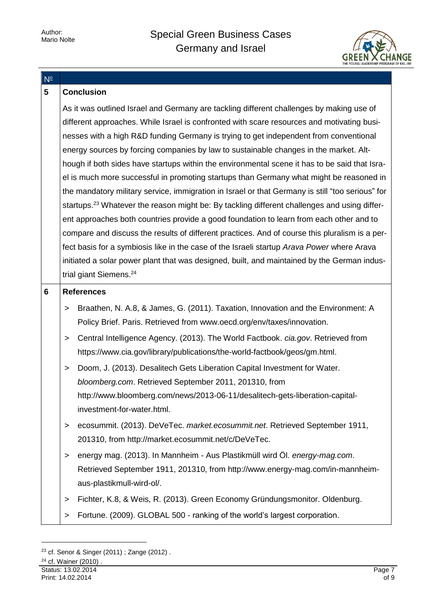

| $N^{\circ}$                                                                             |                                                                                                          |  |  |  |  |
|-----------------------------------------------------------------------------------------|----------------------------------------------------------------------------------------------------------|--|--|--|--|
| $5\phantom{.0}$                                                                         | <b>Conclusion</b>                                                                                        |  |  |  |  |
|                                                                                         | As it was outlined Israel and Germany are tackling different challenges by making use of                 |  |  |  |  |
|                                                                                         | different approaches. While Israel is confronted with scare resources and motivating busi-               |  |  |  |  |
|                                                                                         | nesses with a high R&D funding Germany is trying to get independent from conventional                    |  |  |  |  |
|                                                                                         | energy sources by forcing companies by law to sustainable changes in the market. Alt-                    |  |  |  |  |
|                                                                                         | hough if both sides have startups within the environmental scene it has to be said that Isra-            |  |  |  |  |
| el is much more successful in promoting startups than Germany what might be reasoned in |                                                                                                          |  |  |  |  |
|                                                                                         | the mandatory military service, immigration in Israel or that Germany is still "too serious" for         |  |  |  |  |
|                                                                                         | startups. <sup>23</sup> Whatever the reason might be: By tackling different challenges and using differ- |  |  |  |  |
|                                                                                         | ent approaches both countries provide a good foundation to learn from each other and to                  |  |  |  |  |
|                                                                                         | compare and discuss the results of different practices. And of course this pluralism is a per-           |  |  |  |  |
|                                                                                         | fect basis for a symbiosis like in the case of the Israeli startup Arava Power where Arava               |  |  |  |  |
|                                                                                         | initiated a solar power plant that was designed, built, and maintained by the German indus-              |  |  |  |  |
|                                                                                         | trial giant Siemens. <sup>24</sup>                                                                       |  |  |  |  |
| 6                                                                                       | <b>References</b>                                                                                        |  |  |  |  |
|                                                                                         | Braathen, N. A.8, & James, G. (2011). Taxation, Innovation and the Environment: A<br>>                   |  |  |  |  |
|                                                                                         | Policy Brief. Paris. Retrieved from www.oecd.org/env/taxes/innovation.                                   |  |  |  |  |
|                                                                                         | Central Intelligence Agency. (2013). The World Factbook. cia.gov. Retrieved from<br>$\, > \,$            |  |  |  |  |
|                                                                                         | https://www.cia.gov/library/publications/the-world-factbook/geos/gm.html.                                |  |  |  |  |
|                                                                                         | Doom, J. (2013). Desalitech Gets Liberation Capital Investment for Water.<br>$\,>$                       |  |  |  |  |
|                                                                                         | bloomberg.com. Retrieved September 2011, 201310, from                                                    |  |  |  |  |
|                                                                                         | http://www.bloomberg.com/news/2013-06-11/desalitech-gets-liberation-capital-                             |  |  |  |  |
|                                                                                         | investment-for-water.html.                                                                               |  |  |  |  |
|                                                                                         | ecosummit. (2013). DeVeTec. market.ecosummit.net. Retrieved September 1911,<br>>                         |  |  |  |  |
|                                                                                         | 201310, from http://market.ecosummit.net/c/DeVeTec.                                                      |  |  |  |  |
|                                                                                         | energy mag. (2013). In Mannheim - Aus Plastikmüll wird Öl. energy-mag.com.<br>>                          |  |  |  |  |
|                                                                                         | Retrieved September 1911, 201310, from http://www.energy-mag.com/in-mannheim-                            |  |  |  |  |
|                                                                                         | aus-plastikmull-wird-ol/.                                                                                |  |  |  |  |
|                                                                                         | Fichter, K.8, & Weis, R. (2013). Green Economy Gründungsmonitor. Oldenburg.<br>>                         |  |  |  |  |
|                                                                                         | Fortune. (2009). GLOBAL 500 - ranking of the world's largest corporation.<br>>                           |  |  |  |  |
|                                                                                         |                                                                                                          |  |  |  |  |

<sup>23</sup> cf. Senor & Singer (2011) ; Zange (2012) .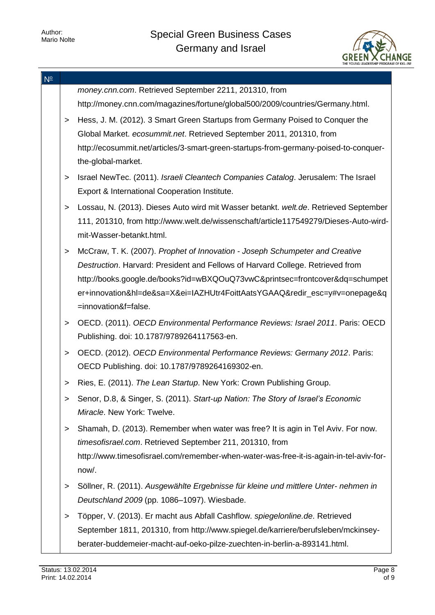

| $N^{\circ}$ |        |                                                                                                                                    |
|-------------|--------|------------------------------------------------------------------------------------------------------------------------------------|
|             |        | money.cnn.com. Retrieved September 2211, 201310, from                                                                              |
|             |        | http://money.cnn.com/magazines/fortune/global500/2009/countries/Germany.html.                                                      |
|             | $\geq$ | Hess, J. M. (2012). 3 Smart Green Startups from Germany Poised to Conquer the                                                      |
|             |        | Global Market. ecosummit.net. Retrieved September 2011, 201310, from                                                               |
|             |        | http://ecosummit.net/articles/3-smart-green-startups-from-germany-poised-to-conquer-<br>the-global-market.                         |
|             | $\geq$ | Israel NewTec. (2011). Israeli Cleantech Companies Catalog. Jerusalem: The Israel<br>Export & International Cooperation Institute. |
|             | $\geq$ | Lossau, N. (2013). Dieses Auto wird mit Wasser betankt. welt.de. Retrieved September                                               |
|             |        | 111, 201310, from http://www.welt.de/wissenschaft/article117549279/Dieses-Auto-wird-                                               |
|             |        | mit-Wasser-betankt.html.                                                                                                           |
|             | $\geq$ | McCraw, T. K. (2007). Prophet of Innovation - Joseph Schumpeter and Creative                                                       |
|             |        | Destruction. Harvard: President and Fellows of Harvard College. Retrieved from                                                     |
|             |        | http://books.google.de/books?id=wBXQOuQ73vwC&printsec=frontcover&dq=schumpet                                                       |
|             |        | er+innovation&hl=de&sa=X&ei=IAZHUtr4FoittAatsYGAAQ&redir_esc=y#v=onepage&q                                                         |
|             |        | =innovation&f=false.                                                                                                               |
|             | $\geq$ | OECD. (2011). OECD Environmental Performance Reviews: Israel 2011. Paris: OECD                                                     |
|             |        | Publishing. doi: 10.1787/9789264117563-en.                                                                                         |
|             | $\geq$ | OECD. (2012). OECD Environmental Performance Reviews: Germany 2012. Paris:                                                         |
|             |        | OECD Publishing. doi: 10.1787/9789264169302-en.                                                                                    |
|             | $\geq$ | Ries, E. (2011). The Lean Startup. New York: Crown Publishing Group.                                                               |
|             |        | Senor, D.8, & Singer, S. (2011). Start-up Nation: The Story of Israel's Economic                                                   |
|             |        | Miracle. New York: Twelve.                                                                                                         |
|             | ➤      | Shamah, D. (2013). Remember when water was free? It is agin in Tel Aviv. For now.                                                  |
|             |        | timesofisrael.com. Retrieved September 211, 201310, from                                                                           |
|             |        | http://www.timesofisrael.com/remember-when-water-was-free-it-is-again-in-tel-aviv-for-                                             |
|             |        | now/.                                                                                                                              |
|             | >      | Söllner, R. (2011). Ausgewählte Ergebnisse für kleine und mittlere Unter- nehmen in                                                |
|             |        | Deutschland 2009 (pp. 1086-1097). Wiesbade.                                                                                        |
|             | >      | Töpper, V. (2013). Er macht aus Abfall Cashflow. spiegelonline.de. Retrieved                                                       |
|             |        | September 1811, 201310, from http://www.spiegel.de/karriere/berufsleben/mckinsey-                                                  |
|             |        | berater-buddemeier-macht-auf-oeko-pilze-zuechten-in-berlin-a-893141.html.                                                          |